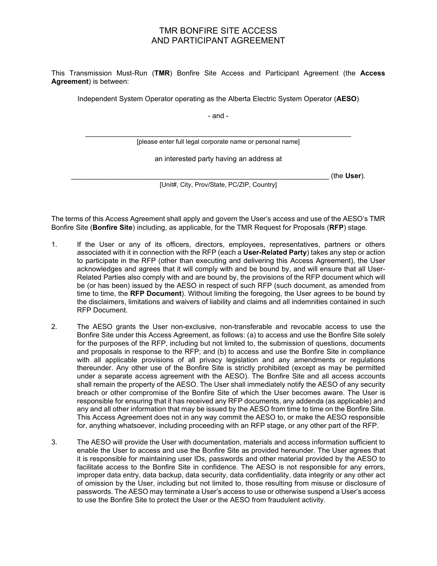## TMR BONFIRE SITE ACCESS AND PARTICIPANT AGREEMENT

This Transmission Must-Run (**TMR**) Bonfire Site Access and Participant Agreement (the **Access Agreement**) is between:

Independent System Operator operating as the Alberta Electric System Operator (**AESO**)

- and -

\_\_\_\_\_\_\_\_\_\_\_\_\_\_\_\_\_\_\_\_\_\_\_\_\_\_\_\_\_\_\_\_\_\_\_\_\_\_\_\_\_\_\_\_\_\_\_\_\_\_\_\_\_\_\_\_\_\_\_\_\_\_\_\_\_\_\_ [please enter full legal corporate name or personal name]

an interested party having an address at

\_\_\_\_\_\_\_\_\_\_\_\_\_\_\_\_\_\_\_\_\_\_\_\_\_\_\_\_\_\_\_\_\_\_\_\_\_\_\_\_\_\_\_\_\_\_\_\_\_\_\_\_\_\_\_\_\_\_\_\_\_\_\_\_\_ (the **User**).

[Unit#, City, Prov/State, PC/ZIP, Country]

The terms of this Access Agreement shall apply and govern the User's access and use of the AESO's TMR Bonfire Site (**Bonfire Site**) including, as applicable, for the TMR Request for Proposals (**RFP**) stage.

- 1. If the User or any of its officers, directors, employees, representatives, partners or others associated with it in connection with the RFP (each a **User-Related Party**) takes any step or action to participate in the RFP (other than executing and delivering this Access Agreement), the User acknowledges and agrees that it will comply with and be bound by, and will ensure that all User-Related Parties also comply with and are bound by, the provisions of the RFP document which will be (or has been) issued by the AESO in respect of such RFP (such document, as amended from time to time, the **RFP Document**). Without limiting the foregoing, the User agrees to be bound by the disclaimers, limitations and waivers of liability and claims and all indemnities contained in such RFP Document.
- 2. The AESO grants the User non-exclusive, non-transferable and revocable access to use the Bonfire Site under this Access Agreement, as follows: (a) to access and use the Bonfire Site solely for the purposes of the RFP, including but not limited to, the submission of questions, documents and proposals in response to the RFP; and (b) to access and use the Bonfire Site in compliance with all applicable provisions of all privacy legislation and any amendments or regulations thereunder. Any other use of the Bonfire Site is strictly prohibited (except as may be permitted under a separate access agreement with the AESO). The Bonfire Site and all access accounts shall remain the property of the AESO. The User shall immediately notify the AESO of any security breach or other compromise of the Bonfire Site of which the User becomes aware. The User is responsible for ensuring that it has received any RFP documents, any addenda (as applicable) and any and all other information that may be issued by the AESO from time to time on the Bonfire Site. This Access Agreement does not in any way commit the AESO to, or make the AESO responsible for, anything whatsoever, including proceeding with an RFP stage, or any other part of the RFP.
- 3. The AESO will provide the User with documentation, materials and access information sufficient to enable the User to access and use the Bonfire Site as provided hereunder. The User agrees that it is responsible for maintaining user IDs, passwords and other material provided by the AESO to facilitate access to the Bonfire Site in confidence. The AESO is not responsible for any errors, improper data entry, data backup, data security, data confidentiality, data integrity or any other act of omission by the User, including but not limited to, those resulting from misuse or disclosure of passwords. The AESO may terminate a User's access to use or otherwise suspend a User's access to use the Bonfire Site to protect the User or the AESO from fraudulent activity.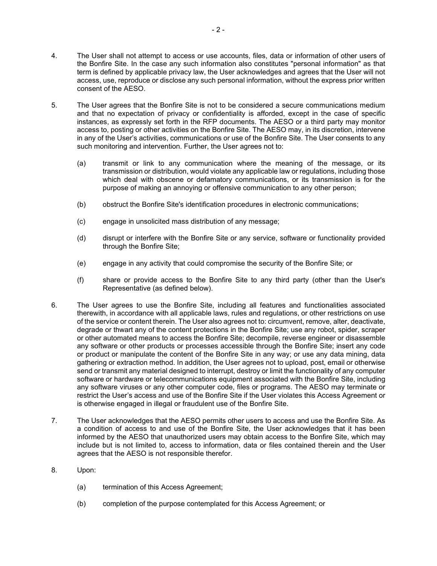- 4. The User shall not attempt to access or use accounts, files, data or information of other users of the Bonfire Site. In the case any such information also constitutes "personal information" as that term is defined by applicable privacy law, the User acknowledges and agrees that the User will not access, use, reproduce or disclose any such personal information, without the express prior written consent of the AESO.
- 5. The User agrees that the Bonfire Site is not to be considered a secure communications medium and that no expectation of privacy or confidentiality is afforded, except in the case of specific instances, as expressly set forth in the RFP documents. The AESO or a third party may monitor access to, posting or other activities on the Bonfire Site. The AESO may, in its discretion, intervene in any of the User's activities, communications or use of the Bonfire Site. The User consents to any such monitoring and intervention. Further, the User agrees not to:
	- (a) transmit or link to any communication where the meaning of the message, or its transmission or distribution, would violate any applicable law or regulations, including those which deal with obscene or defamatory communications, or its transmission is for the purpose of making an annoying or offensive communication to any other person;
	- (b) obstruct the Bonfire Site's identification procedures in electronic communications;
	- (c) engage in unsolicited mass distribution of any message;
	- (d) disrupt or interfere with the Bonfire Site or any service, software or functionality provided through the Bonfire Site;
	- (e) engage in any activity that could compromise the security of the Bonfire Site; or
	- (f) share or provide access to the Bonfire Site to any third party (other than the User's Representative (as defined below).
- 6. The User agrees to use the Bonfire Site, including all features and functionalities associated therewith, in accordance with all applicable laws, rules and regulations, or other restrictions on use of the service or content therein. The User also agrees not to: circumvent, remove, alter, deactivate, degrade or thwart any of the content protections in the Bonfire Site; use any robot, spider, scraper or other automated means to access the Bonfire Site; decompile, reverse engineer or disassemble any software or other products or processes accessible through the Bonfire Site; insert any code or product or manipulate the content of the Bonfire Site in any way; or use any data mining, data gathering or extraction method. In addition, the User agrees not to upload, post, email or otherwise send or transmit any material designed to interrupt, destroy or limit the functionality of any computer software or hardware or telecommunications equipment associated with the Bonfire Site, including any software viruses or any other computer code, files or programs. The AESO may terminate or restrict the User's access and use of the Bonfire Site if the User violates this Access Agreement or is otherwise engaged in illegal or fraudulent use of the Bonfire Site.
- 7. The User acknowledges that the AESO permits other users to access and use the Bonfire Site. As a condition of access to and use of the Bonfire Site, the User acknowledges that it has been informed by the AESO that unauthorized users may obtain access to the Bonfire Site, which may include but is not limited to, access to information, data or files contained therein and the User agrees that the AESO is not responsible therefor.
- 8. Upon:
	- (a) termination of this Access Agreement;
	- (b) completion of the purpose contemplated for this Access Agreement; or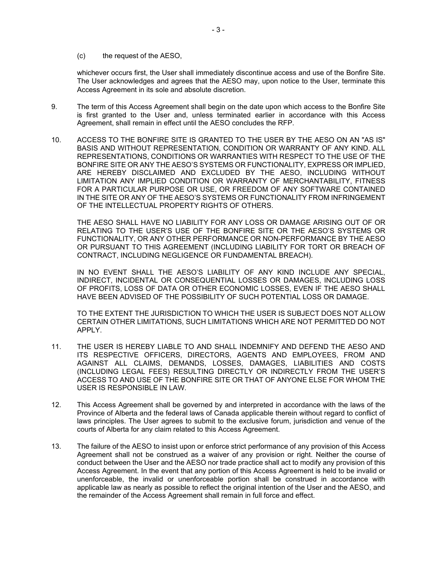(c) the request of the AESO,

whichever occurs first, the User shall immediately discontinue access and use of the Bonfire Site. The User acknowledges and agrees that the AESO may, upon notice to the User, terminate this Access Agreement in its sole and absolute discretion.

- 9. The term of this Access Agreement shall begin on the date upon which access to the Bonfire Site is first granted to the User and, unless terminated earlier in accordance with this Access Agreement, shall remain in effect until the AESO concludes the RFP.
- 10. ACCESS TO THE BONFIRE SITE IS GRANTED TO THE USER BY THE AESO ON AN "AS IS" BASIS AND WITHOUT REPRESENTATION, CONDITION OR WARRANTY OF ANY KIND. ALL REPRESENTATIONS, CONDITIONS OR WARRANTIES WITH RESPECT TO THE USE OF THE BONFIRE SITE OR ANY THE AESO'S SYSTEMS OR FUNCTIONALITY, EXPRESS OR IMPLIED, ARE HEREBY DISCLAIMED AND EXCLUDED BY THE AESO, INCLUDING WITHOUT LIMITATION ANY IMPLIED CONDITION OR WARRANTY OF MERCHANTABILITY, FITNESS FOR A PARTICULAR PURPOSE OR USE, OR FREEDOM OF ANY SOFTWARE CONTAINED IN THE SITE OR ANY OF THE AESO'S SYSTEMS OR FUNCTIONALITY FROM INFRINGEMENT OF THE INTELLECTUAL PROPERTY RIGHTS OF OTHERS.

THE AESO SHALL HAVE NO LIABILITY FOR ANY LOSS OR DAMAGE ARISING OUT OF OR RELATING TO THE USER'S USE OF THE BONFIRE SITE OR THE AESO'S SYSTEMS OR FUNCTIONALITY, OR ANY OTHER PERFORMANCE OR NON-PERFORMANCE BY THE AESO OR PURSUANT TO THIS AGREEMENT (INCLUDING LIABILITY FOR TORT OR BREACH OF CONTRACT, INCLUDING NEGLIGENCE OR FUNDAMENTAL BREACH).

IN NO EVENT SHALL THE AESO'S LIABILITY OF ANY KIND INCLUDE ANY SPECIAL, INDIRECT, INCIDENTAL OR CONSEQUENTIAL LOSSES OR DAMAGES, INCLUDING LOSS OF PROFITS, LOSS OF DATA OR OTHER ECONOMIC LOSSES, EVEN IF THE AESO SHALL HAVE BEEN ADVISED OF THE POSSIBILITY OF SUCH POTENTIAL LOSS OR DAMAGE.

TO THE EXTENT THE JURISDICTION TO WHICH THE USER IS SUBJECT DOES NOT ALLOW CERTAIN OTHER LIMITATIONS, SUCH LIMITATIONS WHICH ARE NOT PERMITTED DO NOT APPLY.

- 11. THE USER IS HEREBY LIABLE TO AND SHALL INDEMNIFY AND DEFEND THE AESO AND ITS RESPECTIVE OFFICERS, DIRECTORS, AGENTS AND EMPLOYEES, FROM AND AGAINST ALL CLAIMS, DEMANDS, LOSSES, DAMAGES, LIABILITIES AND COSTS (INCLUDING LEGAL FEES) RESULTING DIRECTLY OR INDIRECTLY FROM THE USER'S ACCESS TO AND USE OF THE BONFIRE SITE OR THAT OF ANYONE ELSE FOR WHOM THE USER IS RESPONSIBLE IN LAW.
- 12. This Access Agreement shall be governed by and interpreted in accordance with the laws of the Province of Alberta and the federal laws of Canada applicable therein without regard to conflict of laws principles. The User agrees to submit to the exclusive forum, jurisdiction and venue of the courts of Alberta for any claim related to this Access Agreement.
- 13. The failure of the AESO to insist upon or enforce strict performance of any provision of this Access Agreement shall not be construed as a waiver of any provision or right. Neither the course of conduct between the User and the AESO nor trade practice shall act to modify any provision of this Access Agreement. In the event that any portion of this Access Agreement is held to be invalid or unenforceable, the invalid or unenforceable portion shall be construed in accordance with applicable law as nearly as possible to reflect the original intention of the User and the AESO, and the remainder of the Access Agreement shall remain in full force and effect.